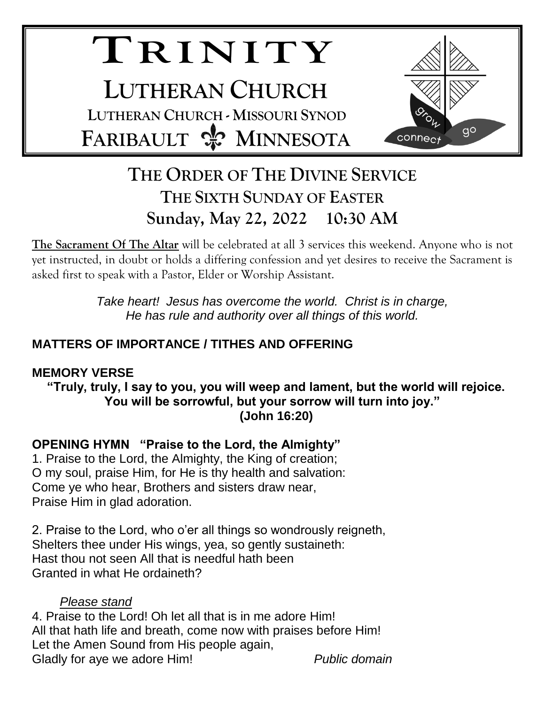# **TR I N I T Y LUTHERAN CHURCH LUTHERAN CHURCH - MISSOURI SYNOD FARIBAULT & MINNESOTA**



# **THE ORDER OF THE DIVINE SERVICE THE SIXTH SUNDAY OF EASTER Sunday, May 22, 2022 10:30 AM**

**The Sacrament Of The Altar** will be celebrated at all 3 services this weekend. Anyone who is not yet instructed, in doubt or holds a differing confession and yet desires to receive the Sacrament is asked first to speak with a Pastor, Elder or Worship Assistant.

> *Take heart! Jesus has overcome the world. Christ is in charge, He has rule and authority over all things of this world.*

## **MATTERS OF IMPORTANCE / TITHES AND OFFERING**

## **MEMORY VERSE**

**"Truly, truly, I say to you, you will weep and lament, but the world will rejoice. You will be sorrowful, but your sorrow will turn into joy." (John 16:20)**

## **OPENING HYMN "Praise to the Lord, the Almighty"**

1. Praise to the Lord, the Almighty, the King of creation; O my soul, praise Him, for He is thy health and salvation: Come ye who hear, Brothers and sisters draw near, Praise Him in glad adoration.

2. Praise to the Lord, who o'er all things so wondrously reigneth, Shelters thee under His wings, yea, so gently sustaineth: Hast thou not seen All that is needful hath been Granted in what He ordaineth?

#### *Please stand*

4. Praise to the Lord! Oh let all that is in me adore Him! All that hath life and breath, come now with praises before Him! Let the Amen Sound from His people again, Gladly for aye we adore Him! *Public domain*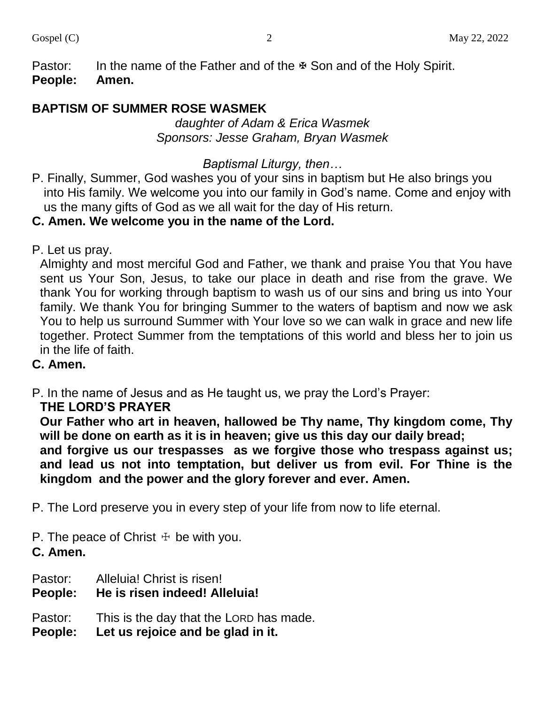Pastor: In the name of the Father and of the  $\overline{\mathbb{F}}$  Son and of the Holy Spirit. **People: Amen.**

## **BAPTISM OF SUMMER ROSE WASMEK**

*daughter of Adam & Erica Wasmek Sponsors: Jesse Graham, Bryan Wasmek*

#### *Baptismal Liturgy, then…*

P. Finally, Summer, God washes you of your sins in baptism but He also brings you into His family. We welcome you into our family in God's name. Come and enjoy with us the many gifts of God as we all wait for the day of His return.

#### **C. Amen. We welcome you in the name of the Lord.**

P. Let us pray.

Almighty and most merciful God and Father, we thank and praise You that You have sent us Your Son, Jesus, to take our place in death and rise from the grave. We thank You for working through baptism to wash us of our sins and bring us into Your family. We thank You for bringing Summer to the waters of baptism and now we ask You to help us surround Summer with Your love so we can walk in grace and new life together. Protect Summer from the temptations of this world and bless her to join us in the life of faith.

#### **C. Amen.**

P. In the name of Jesus and as He taught us, we pray the Lord's Prayer:

#### **THE LORD'S PRAYER**

**Our Father who art in heaven, hallowed be Thy name, Thy kingdom come, Thy will be done on earth as it is in heaven; give us this day our daily bread;**

**and forgive us our trespasses as we forgive those who trespass against us; and lead us not into temptation, but deliver us from evil. For Thine is the kingdom and the power and the glory forever and ever. Amen.**

P. The Lord preserve you in every step of your life from now to life eternal.

P. The peace of Christ  $\pm$  be with you.

**C. Amen.**

- Pastor: Alleluia! Christ is risen!
- **People: He is risen indeed! Alleluia!**

Pastor: This is the day that the LORD has made.

**People: Let us rejoice and be glad in it.**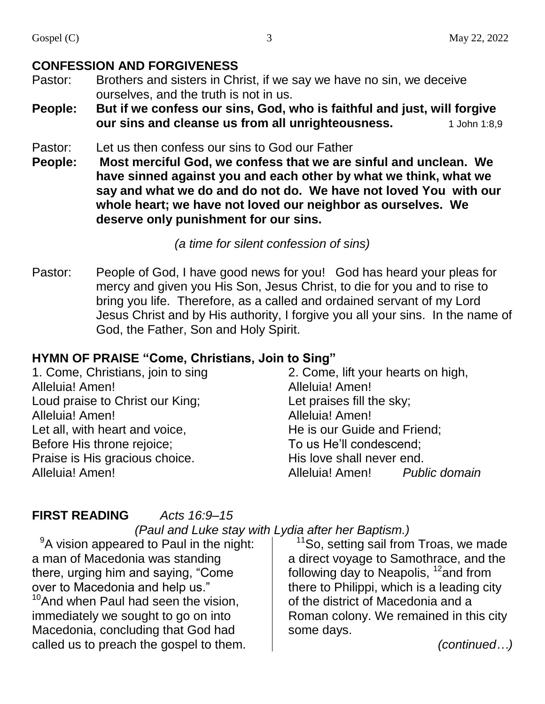- Pastor: Brothers and sisters in Christ, if we say we have no sin, we deceive ourselves, and the truth is not in us.
- **People: But if we confess our sins, God, who is faithful and just, will forgive our sins and cleanse us from all unrighteousness.** 1 John 1:8,9

#### Pastor: Let us then confess our sins to God our Father

**People: Most merciful God, we confess that we are sinful and unclean. We have sinned against you and each other by what we think, what we say and what we do and do not do. We have not loved You with our whole heart; we have not loved our neighbor as ourselves. We deserve only punishment for our sins.**

#### *(a time for silent confession of sins)*

Pastor: People of God, I have good news for you! God has heard your pleas for mercy and given you His Son, Jesus Christ, to die for you and to rise to bring you life. Therefore, as a called and ordained servant of my Lord Jesus Christ and by His authority, I forgive you all your sins. In the name of God, the Father, Son and Holy Spirit.

#### **HYMN OF PRAISE "Come, Christians, Join to Sing"**

1. Come, Christians, join to sing Alleluia! Amen! Loud praise to Christ our King; Alleluia! Amen! Let all, with heart and voice, Before His throne rejoice; Praise is His gracious choice. Alleluia! Amen!

2. Come, lift your hearts on high, Alleluia! Amen! Let praises fill the sky; Alleluia! Amen! He is our Guide and Friend; To us He'll condescend; His love shall never end. Alleluia! Amen! *Public domain*

#### **FIRST READING** *Acts 16:9–15*

## *(Paul and Luke stay with Lydia after her Baptism.)*

 $9A$  vision appeared to Paul in the night: a man of Macedonia was standing there, urging him and saying, "Come over to Macedonia and help us."  $10$ And when Paul had seen the vision, immediately we sought to go on into Macedonia, concluding that God had called us to preach the gospel to them.

<sup>11</sup>So, setting sail from Troas, we made a direct voyage to Samothrace, and the following day to Neapolis,  $12$  and from there to Philippi, which is a leading city of the district of Macedonia and a Roman colony. We remained in this city some days.

*(continued…)*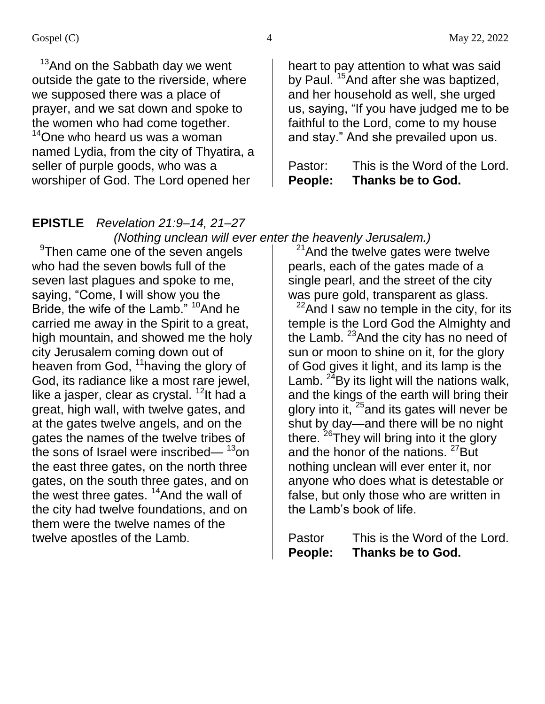$13$ And on the Sabbath day we went outside the gate to the riverside, where we supposed there was a place of prayer, and we sat down and spoke to the women who had come together. <sup>14</sup>One who heard us was a woman named Lydia, from the city of Thyatira, a seller of purple goods, who was a worshiper of God. The Lord opened her

heart to pay attention to what was said by Paul. <sup>15</sup>And after she was baptized, and her household as well, she urged us, saying, "If you have judged me to be faithful to the Lord, come to my house and stay." And she prevailed upon us.

Pastor: This is the Word of the Lord. **People: Thanks be to God.**

#### **EPISTLE** *Revelation 21:9–14, 21–27 (Nothing unclean will ever enter the heavenly Jerusalem.)*

<sup>9</sup>Then came one of the seven angels who had the seven bowls full of the seven last plagues and spoke to me, saying, "Come, I will show you the Bride, the wife of the Lamb." <sup>10</sup>And he carried me away in the Spirit to a great, high mountain, and showed me the holy city Jerusalem coming down out of heaven from God, <sup>11</sup> having the glory of God, its radiance like a most rare jewel, like a jasper, clear as crystal.  $12$ It had a great, high wall, with twelve gates, and at the gates twelve angels, and on the gates the names of the twelve tribes of the sons of Israel were inscribed— $13$ on the east three gates, on the north three gates, on the south three gates, and on the west three gates.  $14$ And the wall of the city had twelve foundations, and on them were the twelve names of the twelve apostles of the Lamb.

 $21$ And the twelve gates were twelve pearls, each of the gates made of a single pearl, and the street of the city was pure gold, transparent as glass.

 $22$ And I saw no temple in the city, for its temple is the Lord God the Almighty and the Lamb.  $23$  And the city has no need of sun or moon to shine on it, for the glory of God gives it light, and its lamp is the Lamb.  $^{24}$ By its light will the nations walk, and the kings of the earth will bring their glory into it,  $25$  and its gates will never be shut by day—and there will be no night there. <sup>26</sup>They will bring into it the glory and the honor of the nations. <sup>27</sup>But nothing unclean will ever enter it, nor anyone who does what is detestable or false, but only those who are written in the Lamb's book of life.

Pastor This is the Word of the Lord. **People: Thanks be to God.**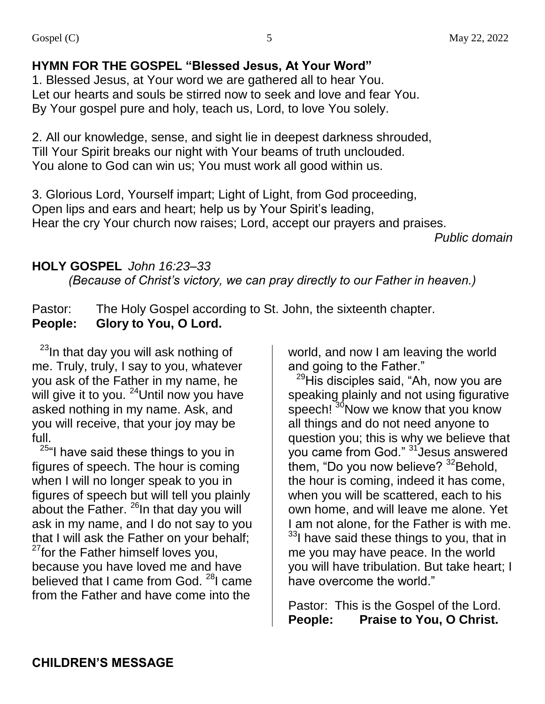## **HYMN FOR THE GOSPEL "Blessed Jesus, At Your Word"**

1. Blessed Jesus, at Your word we are gathered all to hear You. Let our hearts and souls be stirred now to seek and love and fear You. By Your gospel pure and holy, teach us, Lord, to love You solely.

2. All our knowledge, sense, and sight lie in deepest darkness shrouded, Till Your Spirit breaks our night with Your beams of truth unclouded. You alone to God can win us; You must work all good within us.

3. Glorious Lord, Yourself impart; Light of Light, from God proceeding, Open lips and ears and heart; help us by Your Spirit's leading, Hear the cry Your church now raises; Lord, accept our prayers and praises.

*Public domain*

## **HOLY GOSPEL** *John 16:23–33*

*(Because of Christ's victory, we can pray directly to our Father in heaven.)*

Pastor: The Holy Gospel according to St. John, the sixteenth chapter. **People: Glory to You, O Lord.**

 $23$ In that day you will ask nothing of me. Truly, truly, I say to you, whatever you ask of the Father in my name, he will give it to you. <sup>24</sup>Until now you have asked nothing in my name. Ask, and you will receive, that your joy may be full.

<sup>25"</sup>I have said these things to you in figures of speech. The hour is coming when I will no longer speak to you in figures of speech but will tell you plainly about the Father.  $^{26}$ In that day you will ask in my name, and I do not say to you that I will ask the Father on your behalf;  $27$  for the Father himself loves you, because you have loved me and have believed that I came from God. <sup>28</sup>I came from the Father and have come into the

world, and now I am leaving the world and going to the Father."

<sup>29</sup>His disciples said, "Ah, now you are speaking plainly and not using figurative speech!<sup>30</sup>Now we know that you know all things and do not need anyone to question you; this is why we believe that you came from God." <sup>31</sup> Jesus answered them, "Do you now believe?  $32$ Behold, the hour is coming, indeed it has come, when you will be scattered, each to his own home, and will leave me alone. Yet I am not alone, for the Father is with me. <sup>33</sup>I have said these things to you, that in me you may have peace. In the world you will have tribulation. But take heart; I have overcome the world."

Pastor: This is the Gospel of the Lord. **People: Praise to You, O Christ.**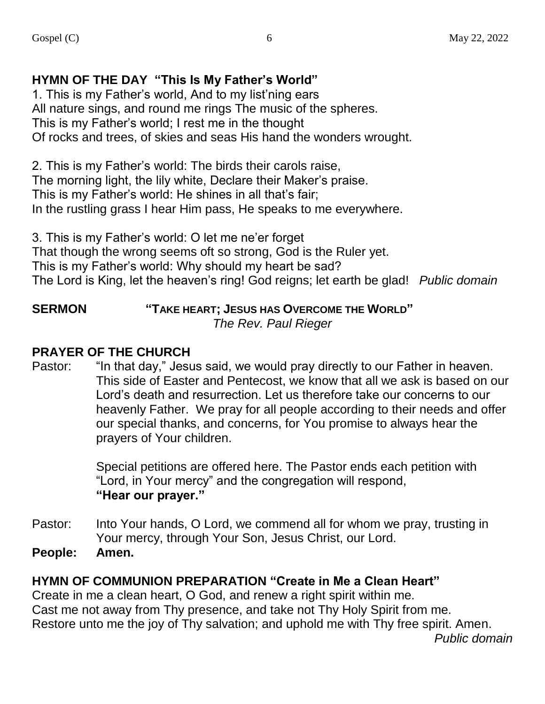## **HYMN OF THE DAY "This Is My Father's World"**

1. This is my Father's world, And to my list'ning ears All nature sings, and round me rings The music of the spheres. This is my Father's world; I rest me in the thought Of rocks and trees, of skies and seas His hand the wonders wrought.

2. This is my Father's world: The birds their carols raise, The morning light, the lily white, Declare their Maker's praise. This is my Father's world: He shines in all that's fair; In the rustling grass I hear Him pass, He speaks to me everywhere.

3. This is my Father's world: O let me ne'er forget That though the wrong seems oft so strong, God is the Ruler yet. This is my Father's world: Why should my heart be sad? The Lord is King, let the heaven's ring! God reigns; let earth be glad! *Public domain*

#### **SERMON "TAKE HEART; JESUS HAS OVERCOME THE WORLD"**  *The Rev. Paul Rieger*

## **PRAYER OF THE CHURCH**

Pastor: "In that day," Jesus said, we would pray directly to our Father in heaven. This side of Easter and Pentecost, we know that all we ask is based on our Lord's death and resurrection. Let us therefore take our concerns to our heavenly Father. We pray for all people according to their needs and offer our special thanks, and concerns, for You promise to always hear the prayers of Your children.

> Special petitions are offered here. The Pastor ends each petition with "Lord, in Your mercy" and the congregation will respond, **"Hear our prayer."**

- Pastor: Into Your hands, O Lord, we commend all for whom we pray, trusting in Your mercy, through Your Son, Jesus Christ, our Lord.
- **People: Amen.**

#### **HYMN OF COMMUNION PREPARATION "Create in Me a Clean Heart"**

Create in me a clean heart, O God, and renew a right spirit within me. Cast me not away from Thy presence, and take not Thy Holy Spirit from me. Restore unto me the joy of Thy salvation; and uphold me with Thy free spirit. Amen.

*Public domain*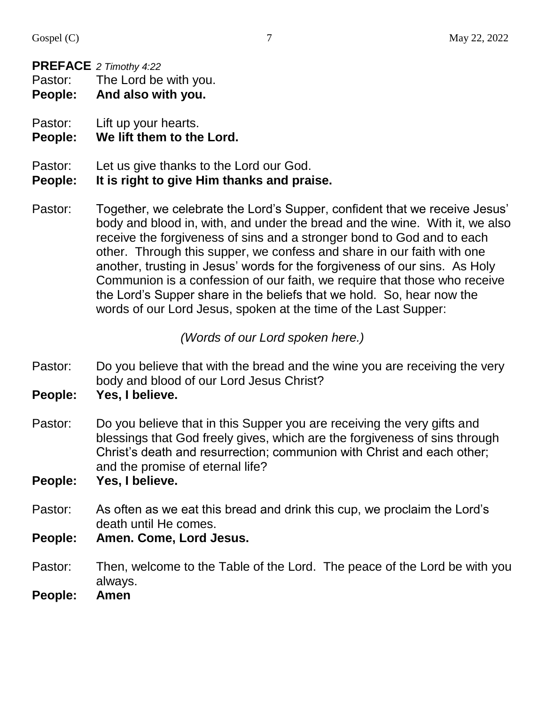#### **PREFACE** *2 Timothy 4:22*

Pastor: The Lord be with you.

**People: And also with you.**

Pastor: Lift up your hearts.

#### **People: We lift them to the Lord.**

Pastor: Let us give thanks to the Lord our God.

#### **People: It is right to give Him thanks and praise.**

Pastor: Together, we celebrate the Lord's Supper, confident that we receive Jesus' body and blood in, with, and under the bread and the wine. With it, we also receive the forgiveness of sins and a stronger bond to God and to each other. Through this supper, we confess and share in our faith with one another, trusting in Jesus' words for the forgiveness of our sins. As Holy Communion is a confession of our faith, we require that those who receive the Lord's Supper share in the beliefs that we hold. So, hear now the words of our Lord Jesus, spoken at the time of the Last Supper:

#### *(Words of our Lord spoken here.)*

Pastor: Do you believe that with the bread and the wine you are receiving the very body and blood of our Lord Jesus Christ?

**People: Yes, I believe.**

- Pastor: Do you believe that in this Supper you are receiving the very gifts and blessings that God freely gives, which are the forgiveness of sins through Christ's death and resurrection; communion with Christ and each other; and the promise of eternal life?
- **People: Yes, I believe.**
- Pastor: As often as we eat this bread and drink this cup, we proclaim the Lord's death until He comes.
- **People: Amen. Come, Lord Jesus.**
- Pastor: Then, welcome to the Table of the Lord. The peace of the Lord be with you always.
- **People: Amen**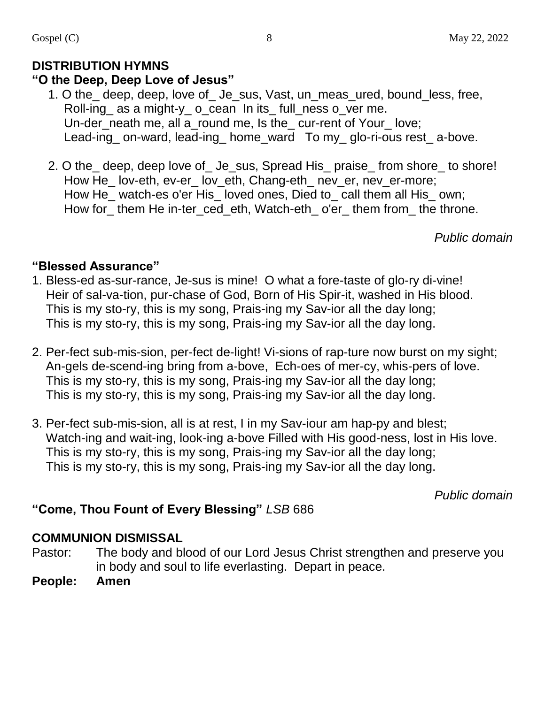## **DISTRIBUTION HYMNS**

#### **"O the Deep, Deep Love of Jesus"**

- 1. O the\_ deep, deep, love of\_ Je\_sus, Vast, un\_meas\_ured, bound\_less, free, Roll-ing\_ as a might-y\_ o\_cean In its\_ full\_ness o\_ver me. Un-der neath me, all a round me, Is the cur-rent of Your love; Lead-ing on-ward, lead-ing home ward To my glo-ri-ous rest a-bove.
- 2. O the deep, deep love of Je sus, Spread His praise from shore to shore! How He\_lov-eth, ev-er\_ lov\_eth, Chang-eth\_ nev\_er, nev\_er-more; How He\_ watch-es o'er His\_ loved ones, Died to\_ call them all His\_ own; How for\_ them He in-ter\_ced\_eth, Watch-eth\_ o'er\_ them from\_ the throne.

*Public domain*

#### **"Blessed Assurance"**

- 1. Bless-ed as-sur-rance, Je-sus is mine! O what a fore-taste of glo-ry di-vine! Heir of sal-va-tion, pur-chase of God, Born of His Spir-it, washed in His blood. This is my sto-ry, this is my song, Prais-ing my Sav-ior all the day long; This is my sto-ry, this is my song, Prais-ing my Sav-ior all the day long.
- 2. Per-fect sub-mis-sion, per-fect de-light! Vi-sions of rap-ture now burst on my sight; An-gels de-scend-ing bring from a-bove, Ech-oes of mer-cy, whis-pers of love. This is my sto-ry, this is my song, Prais-ing my Sav-ior all the day long; This is my sto-ry, this is my song, Prais-ing my Sav-ior all the day long.
- 3. Per-fect sub-mis-sion, all is at rest, I in my Sav-iour am hap-py and blest; Watch-ing and wait-ing, look-ing a-bove Filled with His good-ness, lost in His love. This is my sto-ry, this is my song, Prais-ing my Sav-ior all the day long; This is my sto-ry, this is my song, Prais-ing my Sav-ior all the day long.

*Public domain*

## **"Come, Thou Fount of Every Blessing"** *LSB* 686

## **COMMUNION DISMISSAL**

- Pastor: The body and blood of our Lord Jesus Christ strengthen and preserve you in body and soul to life everlasting. Depart in peace.
- **People: Amen**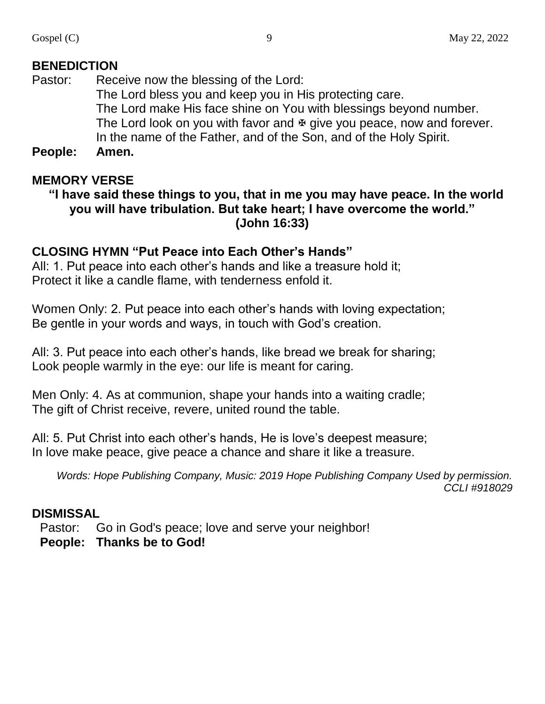Pastor: Receive now the blessing of the Lord: The Lord bless you and keep you in His protecting care. The Lord make His face shine on You with blessings beyond number. The Lord look on you with favor and  $\Phi$  give you peace, now and forever. In the name of the Father, and of the Son, and of the Holy Spirit.

**People: Amen.**

## **MEMORY VERSE**

#### **"I have said these things to you, that in me you may have peace. In the world you will have tribulation. But take heart; I have overcome the world." (John 16:33)**

#### **CLOSING HYMN "Put Peace into Each Other's Hands"**

All: 1. Put peace into each other's hands and like a treasure hold it; Protect it like a candle flame, with tenderness enfold it.

Women Only: 2. Put peace into each other's hands with loving expectation; Be gentle in your words and ways, in touch with God's creation.

All: 3. Put peace into each other's hands, like bread we break for sharing; Look people warmly in the eye: our life is meant for caring.

Men Only: 4. As at communion, shape your hands into a waiting cradle; The gift of Christ receive, revere, united round the table.

All: 5. Put Christ into each other's hands, He is love's deepest measure; In love make peace, give peace a chance and share it like a treasure.

*Words: Hope Publishing Company, Music: 2019 Hope Publishing Company Used by permission. CCLI #918029*

#### **DISMISSAL**

Pastor: Go in God's peace; love and serve your neighbor!

**People: Thanks be to God!**